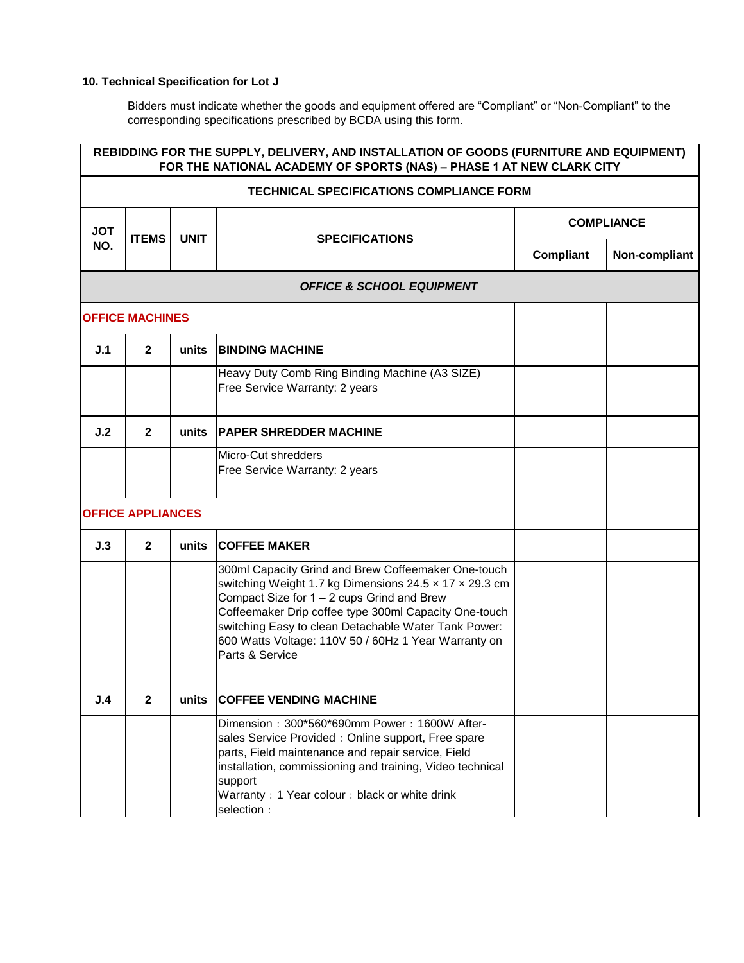## **10. Technical Specification for Lot J**

Bidders must indicate whether the goods and equipment offered are "Compliant" or "Non-Compliant" to the corresponding specifications prescribed by BCDA using this form.

| REBIDDING FOR THE SUPPLY, DELIVERY, AND INSTALLATION OF GOODS (FURNITURE AND EQUIPMENT)<br>FOR THE NATIONAL ACADEMY OF SPORTS (NAS) - PHASE 1 AT NEW CLARK CITY |                          |             |                                                                                                                                                                                                                                                                                                                                                         |                   |               |  |
|-----------------------------------------------------------------------------------------------------------------------------------------------------------------|--------------------------|-------------|---------------------------------------------------------------------------------------------------------------------------------------------------------------------------------------------------------------------------------------------------------------------------------------------------------------------------------------------------------|-------------------|---------------|--|
| <b>TECHNICAL SPECIFICATIONS COMPLIANCE FORM</b>                                                                                                                 |                          |             |                                                                                                                                                                                                                                                                                                                                                         |                   |               |  |
| <b>JOT</b>                                                                                                                                                      | <b>ITEMS</b>             | <b>UNIT</b> |                                                                                                                                                                                                                                                                                                                                                         | <b>COMPLIANCE</b> |               |  |
| NO.                                                                                                                                                             |                          |             | <b>SPECIFICATIONS</b>                                                                                                                                                                                                                                                                                                                                   | Compliant         | Non-compliant |  |
|                                                                                                                                                                 |                          |             | <b>OFFICE &amp; SCHOOL EQUIPMENT</b>                                                                                                                                                                                                                                                                                                                    |                   |               |  |
|                                                                                                                                                                 | <b>OFFICE MACHINES</b>   |             |                                                                                                                                                                                                                                                                                                                                                         |                   |               |  |
| J.1                                                                                                                                                             | $\mathbf{2}$             | units       | <b>BINDING MACHINE</b>                                                                                                                                                                                                                                                                                                                                  |                   |               |  |
|                                                                                                                                                                 |                          |             | Heavy Duty Comb Ring Binding Machine (A3 SIZE)<br>Free Service Warranty: 2 years                                                                                                                                                                                                                                                                        |                   |               |  |
| J.2                                                                                                                                                             | $\mathbf{2}$             | units       | <b>PAPER SHREDDER MACHINE</b>                                                                                                                                                                                                                                                                                                                           |                   |               |  |
|                                                                                                                                                                 |                          |             | Micro-Cut shredders<br>Free Service Warranty: 2 years                                                                                                                                                                                                                                                                                                   |                   |               |  |
|                                                                                                                                                                 | <b>OFFICE APPLIANCES</b> |             |                                                                                                                                                                                                                                                                                                                                                         |                   |               |  |
| J.3                                                                                                                                                             | $\mathbf{2}$             | units       | <b>COFFEE MAKER</b>                                                                                                                                                                                                                                                                                                                                     |                   |               |  |
|                                                                                                                                                                 |                          |             | 300ml Capacity Grind and Brew Coffeemaker One-touch<br>switching Weight 1.7 kg Dimensions 24.5 x 17 x 29.3 cm<br>Compact Size for 1 - 2 cups Grind and Brew<br>Coffeemaker Drip coffee type 300ml Capacity One-touch<br>switching Easy to clean Detachable Water Tank Power:<br>600 Watts Voltage: 110V 50 / 60Hz 1 Year Warranty on<br>Parts & Service |                   |               |  |
| J.4                                                                                                                                                             | $\mathbf{2}$             | units       | <b>COFFEE VENDING MACHINE</b>                                                                                                                                                                                                                                                                                                                           |                   |               |  |
|                                                                                                                                                                 |                          |             | Dimension: 300*560*690mm Power: 1600W After-<br>sales Service Provided : Online support, Free spare<br>parts, Field maintenance and repair service, Field<br>installation, commissioning and training, Video technical<br>support<br>Warranty: 1 Year colour: black or white drink<br>selection :                                                       |                   |               |  |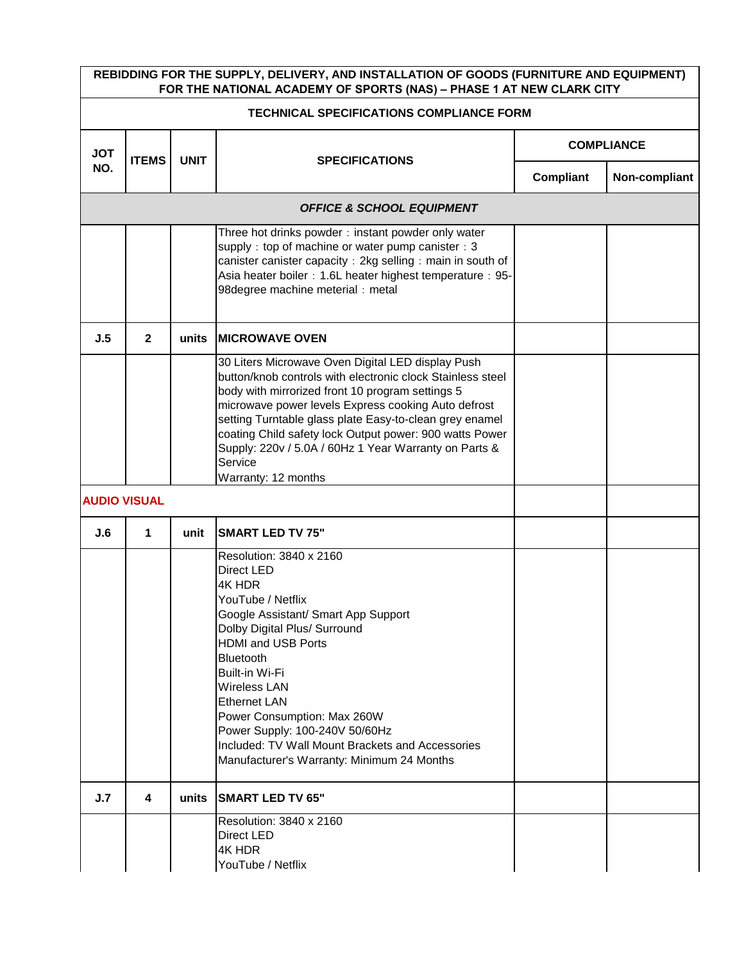| REBIDDING FOR THE SUPPLY, DELIVERY, AND INSTALLATION OF GOODS (FURNITURE AND EQUIPMENT)<br>FOR THE NATIONAL ACADEMY OF SPORTS (NAS) - PHASE 1 AT NEW CLARK CITY |              |             |                                                                                                                                                                                                                                                                                                                                                                                                                                             |                   |               |  |
|-----------------------------------------------------------------------------------------------------------------------------------------------------------------|--------------|-------------|---------------------------------------------------------------------------------------------------------------------------------------------------------------------------------------------------------------------------------------------------------------------------------------------------------------------------------------------------------------------------------------------------------------------------------------------|-------------------|---------------|--|
| <b>TECHNICAL SPECIFICATIONS COMPLIANCE FORM</b>                                                                                                                 |              |             |                                                                                                                                                                                                                                                                                                                                                                                                                                             |                   |               |  |
| <b>JOT</b>                                                                                                                                                      | <b>ITEMS</b> | <b>UNIT</b> |                                                                                                                                                                                                                                                                                                                                                                                                                                             | <b>COMPLIANCE</b> |               |  |
| NO.                                                                                                                                                             |              |             | <b>SPECIFICATIONS</b>                                                                                                                                                                                                                                                                                                                                                                                                                       | Compliant         | Non-compliant |  |
|                                                                                                                                                                 |              |             | <b>OFFICE &amp; SCHOOL EQUIPMENT</b>                                                                                                                                                                                                                                                                                                                                                                                                        |                   |               |  |
|                                                                                                                                                                 |              |             | Three hot drinks powder: instant powder only water<br>supply: top of machine or water pump canister: 3<br>canister canister capacity: 2kg selling: main in south of<br>Asia heater boiler: 1.6L heater highest temperature: 95-<br>98degree machine meterial : metal                                                                                                                                                                        |                   |               |  |
| J.5                                                                                                                                                             | $\mathbf{2}$ | units       | <b>MICROWAVE OVEN</b>                                                                                                                                                                                                                                                                                                                                                                                                                       |                   |               |  |
|                                                                                                                                                                 |              |             | 30 Liters Microwave Oven Digital LED display Push<br>button/knob controls with electronic clock Stainless steel<br>body with mirrorized front 10 program settings 5<br>microwave power levels Express cooking Auto defrost<br>setting Turntable glass plate Easy-to-clean grey enamel<br>coating Child safety lock Output power: 900 watts Power<br>Supply: 220v / 5.0A / 60Hz 1 Year Warranty on Parts &<br>Service<br>Warranty: 12 months |                   |               |  |
| <b>AUDIO VISUAL</b>                                                                                                                                             |              |             |                                                                                                                                                                                                                                                                                                                                                                                                                                             |                   |               |  |
| J.6                                                                                                                                                             | 1            | unit        | <b>SMART LED TV 75"</b>                                                                                                                                                                                                                                                                                                                                                                                                                     |                   |               |  |
|                                                                                                                                                                 |              |             | Resolution: 3840 x 2160<br>Direct LED<br>4K HDR<br>YouTube / Netflix<br>Google Assistant/ Smart App Support<br>Dolby Digital Plus/ Surround<br><b>HDMI and USB Ports</b><br>Bluetooth<br>Built-in Wi-Fi<br><b>Wireless LAN</b><br><b>Ethernet LAN</b><br>Power Consumption: Max 260W<br>Power Supply: 100-240V 50/60Hz<br>Included: TV Wall Mount Brackets and Accessories<br>Manufacturer's Warranty: Minimum 24 Months                    |                   |               |  |
| J.7                                                                                                                                                             | 4            | units       | <b>SMART LED TV 65"</b>                                                                                                                                                                                                                                                                                                                                                                                                                     |                   |               |  |
|                                                                                                                                                                 |              |             | Resolution: 3840 x 2160<br>Direct LED<br>4K HDR<br>YouTube / Netflix                                                                                                                                                                                                                                                                                                                                                                        |                   |               |  |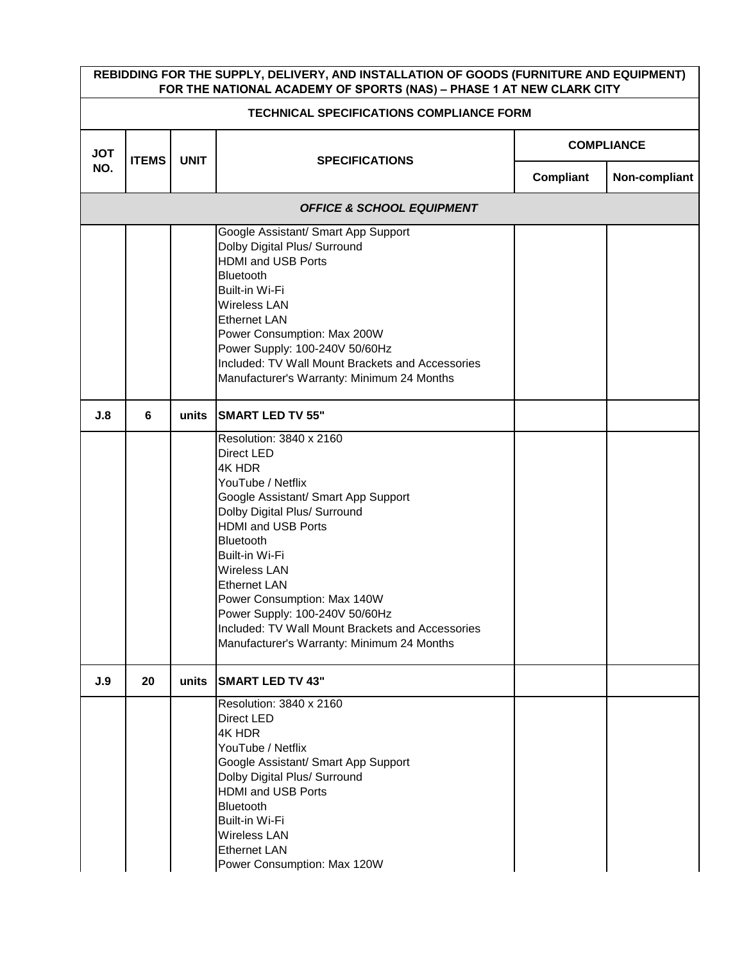| REBIDDING FOR THE SUPPLY, DELIVERY, AND INSTALLATION OF GOODS (FURNITURE AND EQUIPMENT)<br>FOR THE NATIONAL ACADEMY OF SPORTS (NAS) - PHASE 1 AT NEW CLARK CITY |              |             |                                                                                                                                                                                                                                                                                                                                                                                                                   |                   |               |  |
|-----------------------------------------------------------------------------------------------------------------------------------------------------------------|--------------|-------------|-------------------------------------------------------------------------------------------------------------------------------------------------------------------------------------------------------------------------------------------------------------------------------------------------------------------------------------------------------------------------------------------------------------------|-------------------|---------------|--|
| <b>TECHNICAL SPECIFICATIONS COMPLIANCE FORM</b>                                                                                                                 |              |             |                                                                                                                                                                                                                                                                                                                                                                                                                   |                   |               |  |
| <b>JOT</b>                                                                                                                                                      | <b>ITEMS</b> | <b>UNIT</b> | <b>SPECIFICATIONS</b>                                                                                                                                                                                                                                                                                                                                                                                             | <b>COMPLIANCE</b> |               |  |
| NO.                                                                                                                                                             |              |             |                                                                                                                                                                                                                                                                                                                                                                                                                   | Compliant         | Non-compliant |  |
| <b>OFFICE &amp; SCHOOL EQUIPMENT</b>                                                                                                                            |              |             |                                                                                                                                                                                                                                                                                                                                                                                                                   |                   |               |  |
|                                                                                                                                                                 |              |             | Google Assistant/ Smart App Support<br>Dolby Digital Plus/ Surround<br><b>HDMI and USB Ports</b><br><b>Bluetooth</b><br>Built-in Wi-Fi<br>Wireless LAN<br><b>Ethernet LAN</b><br>Power Consumption: Max 200W<br>Power Supply: 100-240V 50/60Hz<br>Included: TV Wall Mount Brackets and Accessories<br>Manufacturer's Warranty: Minimum 24 Months                                                                  |                   |               |  |
| J.8                                                                                                                                                             | 6            | units       | <b>SMART LED TV 55"</b>                                                                                                                                                                                                                                                                                                                                                                                           |                   |               |  |
|                                                                                                                                                                 |              |             | Resolution: 3840 x 2160<br>Direct LED<br>4K HDR<br>YouTube / Netflix<br>Google Assistant/ Smart App Support<br>Dolby Digital Plus/ Surround<br><b>HDMI and USB Ports</b><br>Bluetooth<br>Built-in Wi-Fi<br>Wireless LAN<br><b>Ethernet LAN</b><br>Power Consumption: Max 140W<br>Power Supply: 100-240V 50/60Hz<br>Included: TV Wall Mount Brackets and Accessories<br>Manufacturer's Warranty: Minimum 24 Months |                   |               |  |
| J.9                                                                                                                                                             | 20           | units       | <b>SMART LED TV 43"</b>                                                                                                                                                                                                                                                                                                                                                                                           |                   |               |  |
|                                                                                                                                                                 |              |             | Resolution: 3840 x 2160<br>Direct LED<br>4K HDR<br>YouTube / Netflix<br>Google Assistant/ Smart App Support<br>Dolby Digital Plus/ Surround<br><b>HDMI and USB Ports</b><br><b>Bluetooth</b><br>Built-in Wi-Fi<br>Wireless LAN<br><b>Ethernet LAN</b><br>Power Consumption: Max 120W                                                                                                                              |                   |               |  |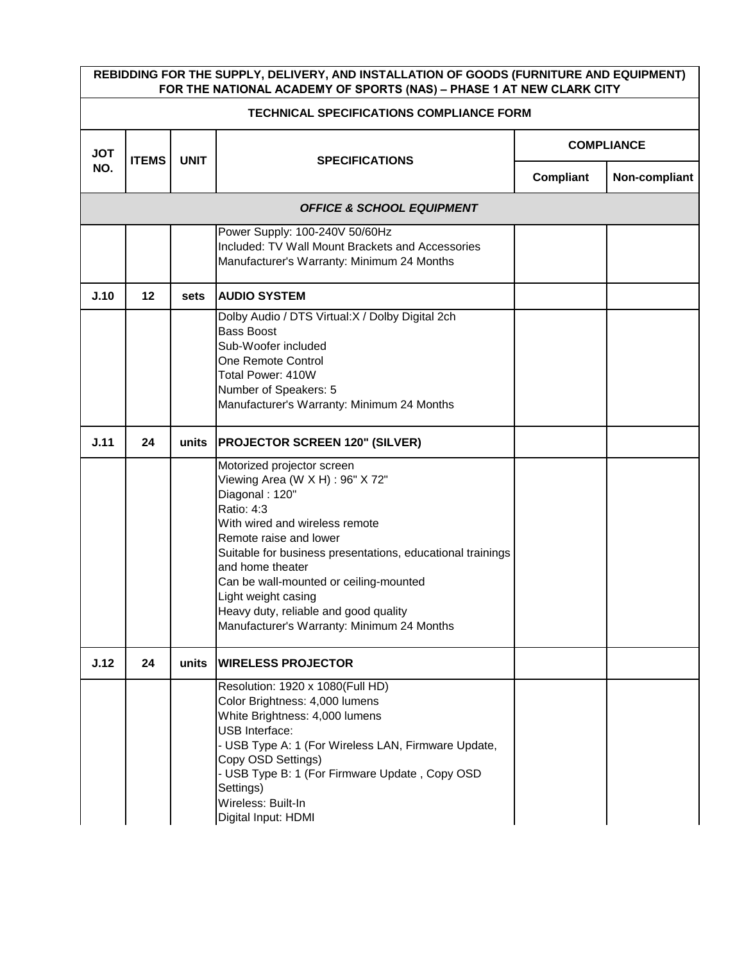| REBIDDING FOR THE SUPPLY, DELIVERY, AND INSTALLATION OF GOODS (FURNITURE AND EQUIPMENT)<br>FOR THE NATIONAL ACADEMY OF SPORTS (NAS) - PHASE 1 AT NEW CLARK CITY |              |             |                                                                                                                                                                                                                                                                                                                                                                                                      |                   |               |  |  |
|-----------------------------------------------------------------------------------------------------------------------------------------------------------------|--------------|-------------|------------------------------------------------------------------------------------------------------------------------------------------------------------------------------------------------------------------------------------------------------------------------------------------------------------------------------------------------------------------------------------------------------|-------------------|---------------|--|--|
| <b>TECHNICAL SPECIFICATIONS COMPLIANCE FORM</b>                                                                                                                 |              |             |                                                                                                                                                                                                                                                                                                                                                                                                      |                   |               |  |  |
| <b>JOT</b>                                                                                                                                                      | <b>ITEMS</b> | <b>UNIT</b> | <b>SPECIFICATIONS</b>                                                                                                                                                                                                                                                                                                                                                                                | <b>COMPLIANCE</b> |               |  |  |
| NO.                                                                                                                                                             |              |             |                                                                                                                                                                                                                                                                                                                                                                                                      | Compliant         | Non-compliant |  |  |
|                                                                                                                                                                 |              |             | <b>OFFICE &amp; SCHOOL EQUIPMENT</b>                                                                                                                                                                                                                                                                                                                                                                 |                   |               |  |  |
|                                                                                                                                                                 |              |             | Power Supply: 100-240V 50/60Hz<br>Included: TV Wall Mount Brackets and Accessories<br>Manufacturer's Warranty: Minimum 24 Months                                                                                                                                                                                                                                                                     |                   |               |  |  |
| J.10                                                                                                                                                            | 12           | sets        | <b>AUDIO SYSTEM</b>                                                                                                                                                                                                                                                                                                                                                                                  |                   |               |  |  |
|                                                                                                                                                                 |              |             | Dolby Audio / DTS Virtual: X / Dolby Digital 2ch<br><b>Bass Boost</b><br>Sub-Woofer included<br>One Remote Control<br>Total Power: 410W<br>Number of Speakers: 5<br>Manufacturer's Warranty: Minimum 24 Months                                                                                                                                                                                       |                   |               |  |  |
| J.11                                                                                                                                                            | 24           | units       | <b>PROJECTOR SCREEN 120" (SILVER)</b>                                                                                                                                                                                                                                                                                                                                                                |                   |               |  |  |
|                                                                                                                                                                 |              |             | Motorized projector screen<br>Viewing Area (W X H) : 96" X 72"<br>Diagonal: 120"<br>Ratio: 4:3<br>With wired and wireless remote<br>Remote raise and lower<br>Suitable for business presentations, educational trainings<br>and home theater<br>Can be wall-mounted or ceiling-mounted<br>Light weight casing<br>Heavy duty, reliable and good quality<br>Manufacturer's Warranty: Minimum 24 Months |                   |               |  |  |
| J.12                                                                                                                                                            | 24           | units       | <b>WIRELESS PROJECTOR</b>                                                                                                                                                                                                                                                                                                                                                                            |                   |               |  |  |
|                                                                                                                                                                 |              |             | Resolution: 1920 x 1080(Full HD)<br>Color Brightness: 4,000 lumens<br>White Brightness: 4,000 lumens<br><b>USB Interface:</b><br>- USB Type A: 1 (For Wireless LAN, Firmware Update,<br>Copy OSD Settings)<br>- USB Type B: 1 (For Firmware Update, Copy OSD<br>Settings)<br>Wireless: Built-In<br>Digital Input: HDMI                                                                               |                   |               |  |  |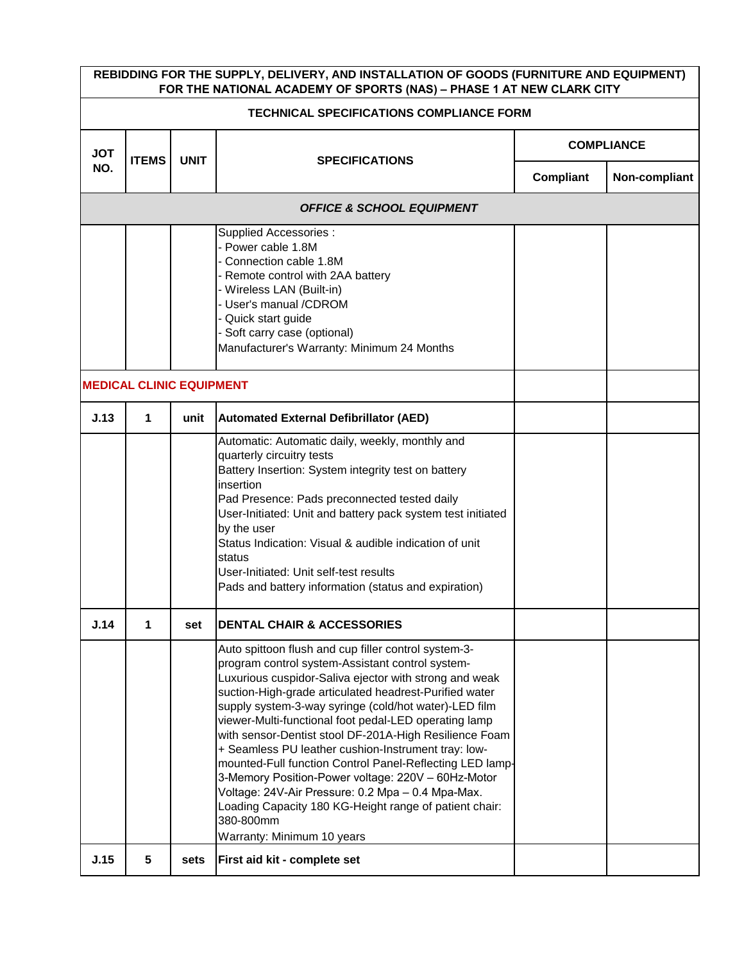| REBIDDING FOR THE SUPPLY, DELIVERY, AND INSTALLATION OF GOODS (FURNITURE AND EQUIPMENT)<br>FOR THE NATIONAL ACADEMY OF SPORTS (NAS) - PHASE 1 AT NEW CLARK CITY |                                 |             |                                                                                                                                                                                                                                                                                                                                                                                                                                                                                                                                                                                                                                                                                                                                             |                   |               |  |
|-----------------------------------------------------------------------------------------------------------------------------------------------------------------|---------------------------------|-------------|---------------------------------------------------------------------------------------------------------------------------------------------------------------------------------------------------------------------------------------------------------------------------------------------------------------------------------------------------------------------------------------------------------------------------------------------------------------------------------------------------------------------------------------------------------------------------------------------------------------------------------------------------------------------------------------------------------------------------------------------|-------------------|---------------|--|
| <b>TECHNICAL SPECIFICATIONS COMPLIANCE FORM</b>                                                                                                                 |                                 |             |                                                                                                                                                                                                                                                                                                                                                                                                                                                                                                                                                                                                                                                                                                                                             |                   |               |  |
| <b>JOT</b>                                                                                                                                                      | <b>ITEMS</b>                    | <b>UNIT</b> |                                                                                                                                                                                                                                                                                                                                                                                                                                                                                                                                                                                                                                                                                                                                             | <b>COMPLIANCE</b> |               |  |
| NO.                                                                                                                                                             |                                 |             | <b>SPECIFICATIONS</b>                                                                                                                                                                                                                                                                                                                                                                                                                                                                                                                                                                                                                                                                                                                       | <b>Compliant</b>  | Non-compliant |  |
|                                                                                                                                                                 |                                 |             | <b>OFFICE &amp; SCHOOL EQUIPMENT</b>                                                                                                                                                                                                                                                                                                                                                                                                                                                                                                                                                                                                                                                                                                        |                   |               |  |
|                                                                                                                                                                 | <b>MEDICAL CLINIC EQUIPMENT</b> |             | Supplied Accessories :<br>- Power cable 1.8M<br>Connection cable 1.8M<br>- Remote control with 2AA battery<br>- Wireless LAN (Built-in)<br>- User's manual /CDROM<br>- Quick start guide<br>Soft carry case (optional)<br>Manufacturer's Warranty: Minimum 24 Months                                                                                                                                                                                                                                                                                                                                                                                                                                                                        |                   |               |  |
| J.13                                                                                                                                                            | 1                               | unit        | <b>Automated External Defibrillator (AED)</b>                                                                                                                                                                                                                                                                                                                                                                                                                                                                                                                                                                                                                                                                                               |                   |               |  |
|                                                                                                                                                                 |                                 |             | Automatic: Automatic daily, weekly, monthly and<br>quarterly circuitry tests<br>Battery Insertion: System integrity test on battery<br>insertion<br>Pad Presence: Pads preconnected tested daily<br>User-Initiated: Unit and battery pack system test initiated<br>by the user<br>Status Indication: Visual & audible indication of unit<br>status<br>User-Initiated: Unit self-test results<br>Pads and battery information (status and expiration)                                                                                                                                                                                                                                                                                        |                   |               |  |
| J.14                                                                                                                                                            | 1                               | set         | <b>DENTAL CHAIR &amp; ACCESSORIES</b>                                                                                                                                                                                                                                                                                                                                                                                                                                                                                                                                                                                                                                                                                                       |                   |               |  |
|                                                                                                                                                                 |                                 |             | Auto spittoon flush and cup filler control system-3-<br>program control system-Assistant control system-<br>Luxurious cuspidor-Saliva ejector with strong and weak<br>suction-High-grade articulated headrest-Purified water<br>supply system-3-way syringe (cold/hot water)-LED film<br>viewer-Multi-functional foot pedal-LED operating lamp<br>with sensor-Dentist stool DF-201A-High Resilience Foam<br>+ Seamless PU leather cushion-Instrument tray: low-<br>mounted-Full function Control Panel-Reflecting LED lamp-<br>3-Memory Position-Power voltage: 220V - 60Hz-Motor<br>Voltage: 24V-Air Pressure: 0.2 Mpa - 0.4 Mpa-Max.<br>Loading Capacity 180 KG-Height range of patient chair:<br>380-800mm<br>Warranty: Minimum 10 years |                   |               |  |
| J.15                                                                                                                                                            | 5                               | sets        | First aid kit - complete set                                                                                                                                                                                                                                                                                                                                                                                                                                                                                                                                                                                                                                                                                                                |                   |               |  |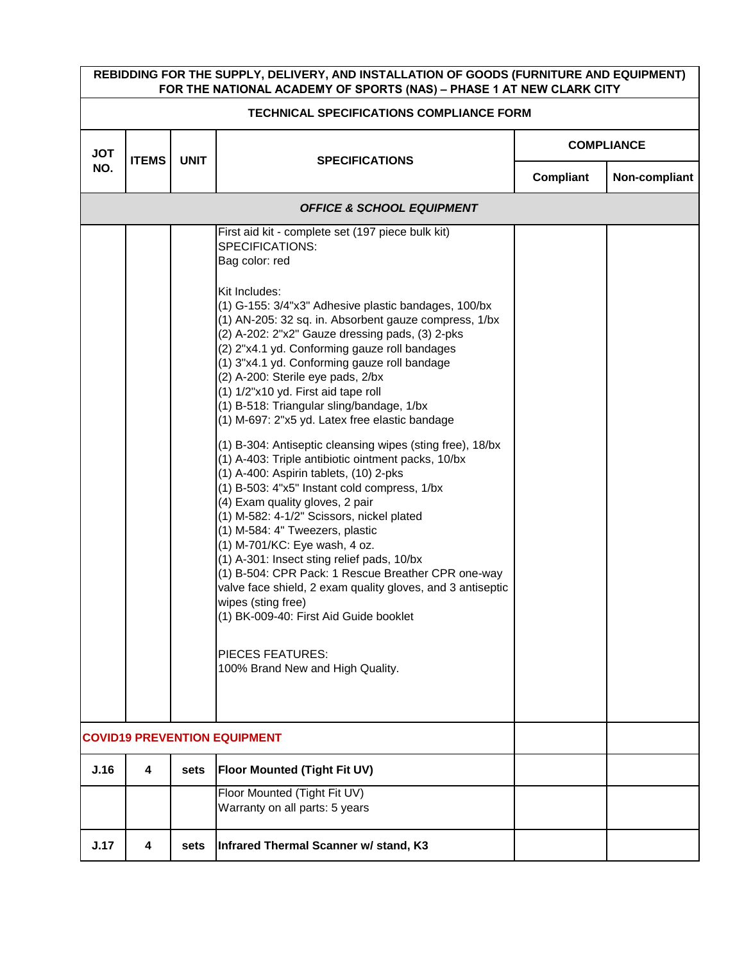| REBIDDING FOR THE SUPPLY, DELIVERY, AND INSTALLATION OF GOODS (FURNITURE AND EQUIPMENT)<br>FOR THE NATIONAL ACADEMY OF SPORTS (NAS) - PHASE 1 AT NEW CLARK CITY |                                     |             |                                                                                                                                                                                                                                                                                                                                                                                                                                                                                                                                                                                                                                                                                                                                                                                                                                                                                                                                                                                                                                                                                                                                                                                                                                  |                   |               |  |
|-----------------------------------------------------------------------------------------------------------------------------------------------------------------|-------------------------------------|-------------|----------------------------------------------------------------------------------------------------------------------------------------------------------------------------------------------------------------------------------------------------------------------------------------------------------------------------------------------------------------------------------------------------------------------------------------------------------------------------------------------------------------------------------------------------------------------------------------------------------------------------------------------------------------------------------------------------------------------------------------------------------------------------------------------------------------------------------------------------------------------------------------------------------------------------------------------------------------------------------------------------------------------------------------------------------------------------------------------------------------------------------------------------------------------------------------------------------------------------------|-------------------|---------------|--|
| <b>TECHNICAL SPECIFICATIONS COMPLIANCE FORM</b>                                                                                                                 |                                     |             |                                                                                                                                                                                                                                                                                                                                                                                                                                                                                                                                                                                                                                                                                                                                                                                                                                                                                                                                                                                                                                                                                                                                                                                                                                  |                   |               |  |
| <b>JOT</b>                                                                                                                                                      | <b>ITEMS</b>                        | <b>UNIT</b> | <b>SPECIFICATIONS</b>                                                                                                                                                                                                                                                                                                                                                                                                                                                                                                                                                                                                                                                                                                                                                                                                                                                                                                                                                                                                                                                                                                                                                                                                            | <b>COMPLIANCE</b> |               |  |
| NO.                                                                                                                                                             |                                     |             |                                                                                                                                                                                                                                                                                                                                                                                                                                                                                                                                                                                                                                                                                                                                                                                                                                                                                                                                                                                                                                                                                                                                                                                                                                  | Compliant         | Non-compliant |  |
|                                                                                                                                                                 |                                     |             | <b>OFFICE &amp; SCHOOL EQUIPMENT</b>                                                                                                                                                                                                                                                                                                                                                                                                                                                                                                                                                                                                                                                                                                                                                                                                                                                                                                                                                                                                                                                                                                                                                                                             |                   |               |  |
|                                                                                                                                                                 |                                     |             | First aid kit - complete set (197 piece bulk kit)<br><b>SPECIFICATIONS:</b><br>Bag color: red<br>Kit Includes:<br>(1) G-155: 3/4"x3" Adhesive plastic bandages, 100/bx<br>(1) AN-205: 32 sq. in. Absorbent gauze compress, 1/bx<br>(2) A-202: 2"x2" Gauze dressing pads, (3) 2-pks<br>(2) 2"x4.1 yd. Conforming gauze roll bandages<br>(1) 3"x4.1 yd. Conforming gauze roll bandage<br>(2) A-200: Sterile eye pads, 2/bx<br>(1) 1/2"x10 yd. First aid tape roll<br>(1) B-518: Triangular sling/bandage, 1/bx<br>(1) M-697: 2"x5 yd. Latex free elastic bandage<br>(1) B-304: Antiseptic cleansing wipes (sting free), 18/bx<br>(1) A-403: Triple antibiotic ointment packs, 10/bx<br>(1) A-400: Aspirin tablets, (10) 2-pks<br>(1) B-503: 4"x5" Instant cold compress, 1/bx<br>(4) Exam quality gloves, 2 pair<br>(1) M-582: 4-1/2" Scissors, nickel plated<br>(1) M-584: 4" Tweezers, plastic<br>(1) M-701/KC: Eye wash, 4 oz.<br>(1) A-301: Insect sting relief pads, 10/bx<br>(1) B-504: CPR Pack: 1 Rescue Breather CPR one-way<br>valve face shield, 2 exam quality gloves, and 3 antiseptic<br>wipes (sting free)<br>(1) BK-009-40: First Aid Guide booklet<br><b>PIECES FEATURES:</b><br>100% Brand New and High Quality. |                   |               |  |
|                                                                                                                                                                 | <b>COVID19 PREVENTION EQUIPMENT</b> |             |                                                                                                                                                                                                                                                                                                                                                                                                                                                                                                                                                                                                                                                                                                                                                                                                                                                                                                                                                                                                                                                                                                                                                                                                                                  |                   |               |  |
| J.16                                                                                                                                                            | 4                                   | sets        | <b>Floor Mounted (Tight Fit UV)</b>                                                                                                                                                                                                                                                                                                                                                                                                                                                                                                                                                                                                                                                                                                                                                                                                                                                                                                                                                                                                                                                                                                                                                                                              |                   |               |  |
|                                                                                                                                                                 |                                     |             | Floor Mounted (Tight Fit UV)<br>Warranty on all parts: 5 years                                                                                                                                                                                                                                                                                                                                                                                                                                                                                                                                                                                                                                                                                                                                                                                                                                                                                                                                                                                                                                                                                                                                                                   |                   |               |  |
| J.17                                                                                                                                                            | 4                                   | sets        | Infrared Thermal Scanner w/ stand, K3                                                                                                                                                                                                                                                                                                                                                                                                                                                                                                                                                                                                                                                                                                                                                                                                                                                                                                                                                                                                                                                                                                                                                                                            |                   |               |  |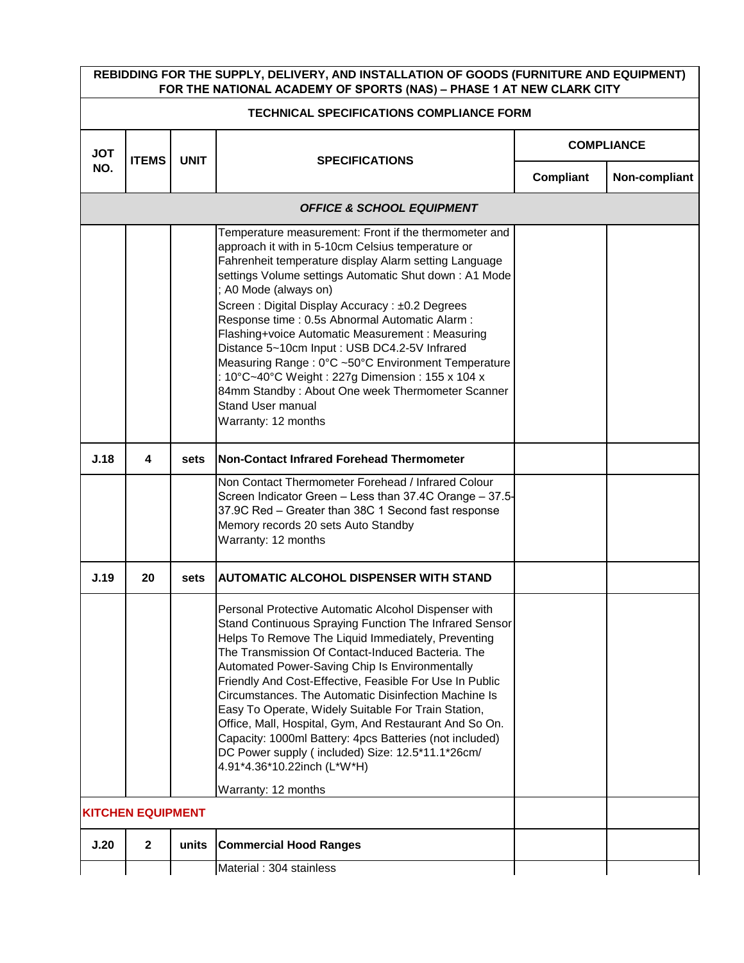| REBIDDING FOR THE SUPPLY, DELIVERY, AND INSTALLATION OF GOODS (FURNITURE AND EQUIPMENT)<br>FOR THE NATIONAL ACADEMY OF SPORTS (NAS) - PHASE 1 AT NEW CLARK CITY |                                          |             |                                                                                                                                                                                                                                                                                                                                                                                                                                                                                                                                                                                                                                                                                      |                   |               |  |  |  |
|-----------------------------------------------------------------------------------------------------------------------------------------------------------------|------------------------------------------|-------------|--------------------------------------------------------------------------------------------------------------------------------------------------------------------------------------------------------------------------------------------------------------------------------------------------------------------------------------------------------------------------------------------------------------------------------------------------------------------------------------------------------------------------------------------------------------------------------------------------------------------------------------------------------------------------------------|-------------------|---------------|--|--|--|
|                                                                                                                                                                 | TECHNICAL SPECIFICATIONS COMPLIANCE FORM |             |                                                                                                                                                                                                                                                                                                                                                                                                                                                                                                                                                                                                                                                                                      |                   |               |  |  |  |
| <b>JOT</b>                                                                                                                                                      | <b>ITEMS</b>                             | <b>UNIT</b> | <b>SPECIFICATIONS</b>                                                                                                                                                                                                                                                                                                                                                                                                                                                                                                                                                                                                                                                                | <b>COMPLIANCE</b> |               |  |  |  |
| NO.                                                                                                                                                             |                                          |             |                                                                                                                                                                                                                                                                                                                                                                                                                                                                                                                                                                                                                                                                                      | <b>Compliant</b>  | Non-compliant |  |  |  |
|                                                                                                                                                                 |                                          |             | <b>OFFICE &amp; SCHOOL EQUIPMENT</b>                                                                                                                                                                                                                                                                                                                                                                                                                                                                                                                                                                                                                                                 |                   |               |  |  |  |
|                                                                                                                                                                 |                                          |             | Temperature measurement: Front if the thermometer and<br>approach it with in 5-10cm Celsius temperature or<br>Fahrenheit temperature display Alarm setting Language<br>settings Volume settings Automatic Shut down: A1 Mode<br>; A0 Mode (always on)<br>Screen: Digital Display Accuracy: ±0.2 Degrees<br>Response time : 0.5s Abnormal Automatic Alarm :<br>Flashing+voice Automatic Measurement : Measuring<br>Distance 5~10cm Input: USB DC4.2-5V Infrared<br>Measuring Range: 0°C ~50°C Environment Temperature<br>: 10°C~40°C Weight : 227g Dimension : 155 x 104 x<br>84mm Standby: About One week Thermometer Scanner<br><b>Stand User manual</b><br>Warranty: 12 months     |                   |               |  |  |  |
| J.18                                                                                                                                                            | 4                                        | sets        | Non-Contact Infrared Forehead Thermometer                                                                                                                                                                                                                                                                                                                                                                                                                                                                                                                                                                                                                                            |                   |               |  |  |  |
|                                                                                                                                                                 |                                          |             | Non Contact Thermometer Forehead / Infrared Colour<br>Screen Indicator Green - Less than 37.4C Orange - 37.5-<br>37.9C Red - Greater than 38C 1 Second fast response<br>Memory records 20 sets Auto Standby<br>Warranty: 12 months                                                                                                                                                                                                                                                                                                                                                                                                                                                   |                   |               |  |  |  |
| J.19                                                                                                                                                            | 20                                       | sets        | <b>AUTOMATIC ALCOHOL DISPENSER WITH STAND</b>                                                                                                                                                                                                                                                                                                                                                                                                                                                                                                                                                                                                                                        |                   |               |  |  |  |
|                                                                                                                                                                 |                                          |             | Personal Protective Automatic Alcohol Dispenser with<br>Stand Continuous Spraying Function The Infrared Sensor<br>Helps To Remove The Liquid Immediately, Preventing<br>The Transmission Of Contact-Induced Bacteria. The<br>Automated Power-Saving Chip Is Environmentally<br>Friendly And Cost-Effective, Feasible For Use In Public<br>Circumstances. The Automatic Disinfection Machine Is<br>Easy To Operate, Widely Suitable For Train Station,<br>Office, Mall, Hospital, Gym, And Restaurant And So On.<br>Capacity: 1000ml Battery: 4pcs Batteries (not included)<br>DC Power supply (included) Size: 12.5*11.1*26cm/<br>4.91*4.36*10.22inch (L*W*H)<br>Warranty: 12 months |                   |               |  |  |  |
|                                                                                                                                                                 | <b>KITCHEN EQUIPMENT</b>                 |             |                                                                                                                                                                                                                                                                                                                                                                                                                                                                                                                                                                                                                                                                                      |                   |               |  |  |  |
| J.20                                                                                                                                                            | $\mathbf{2}$                             | units       | <b>Commercial Hood Ranges</b>                                                                                                                                                                                                                                                                                                                                                                                                                                                                                                                                                                                                                                                        |                   |               |  |  |  |
|                                                                                                                                                                 |                                          |             | Material: 304 stainless                                                                                                                                                                                                                                                                                                                                                                                                                                                                                                                                                                                                                                                              |                   |               |  |  |  |